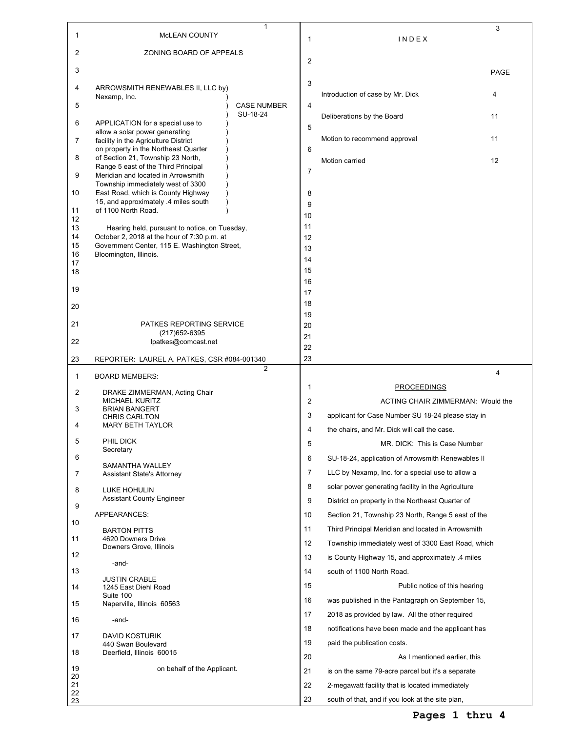| 1              | MCLEAN COUNTY                                                                                | $\mathbf{1}$                   | $\mathbf{1}$   | INDEX                                              | 3    |
|----------------|----------------------------------------------------------------------------------------------|--------------------------------|----------------|----------------------------------------------------|------|
| 2              | ZONING BOARD OF APPEALS                                                                      |                                |                |                                                    |      |
| 3              |                                                                                              |                                | $\overline{2}$ |                                                    | PAGE |
| 4              | ARROWSMITH RENEWABLES II, LLC by)                                                            |                                | 3              |                                                    |      |
|                | Nexamp, Inc.                                                                                 |                                |                | Introduction of case by Mr. Dick                   | 4    |
| 5              |                                                                                              | <b>CASE NUMBER</b><br>SU-18-24 | 4              | Deliberations by the Board                         | 11   |
| 6              | APPLICATION for a special use to<br>allow a solar power generating                           |                                | 5              |                                                    |      |
| $\overline{7}$ | facility in the Agriculture District<br>on property in the Northeast Quarter                 |                                | 6              | Motion to recommend approval                       | 11   |
| 8              | of Section 21, Township 23 North,                                                            |                                |                | Motion carried                                     | 12   |
| 9              | Range 5 east of the Third Principal<br>Meridian and located in Arrowsmith                    |                                | $\overline{7}$ |                                                    |      |
| 10             | Township immediately west of 3300<br>East Road, which is County Highway                      |                                | 8              |                                                    |      |
| 11             | 15, and approximately .4 miles south<br>of 1100 North Road.                                  |                                | 9              |                                                    |      |
| 12             |                                                                                              |                                | 10<br>11       |                                                    |      |
| 13<br>14       | Hearing held, pursuant to notice, on Tuesday,<br>October 2, 2018 at the hour of 7:30 p.m. at |                                | 12             |                                                    |      |
| 15             | Government Center, 115 E. Washington Street,                                                 |                                | 13             |                                                    |      |
| 16<br>17       | Bloomington, Illinois.                                                                       |                                | 14             |                                                    |      |
| 18             |                                                                                              |                                | 15             |                                                    |      |
| 19             |                                                                                              |                                | 16<br>17       |                                                    |      |
| 20             |                                                                                              |                                | 18             |                                                    |      |
|                |                                                                                              |                                | 19             |                                                    |      |
| 21             | PATKES REPORTING SERVICE<br>(217) 652-6395                                                   |                                | 20             |                                                    |      |
| 22             | lpatkes@comcast.net                                                                          |                                | 21<br>22       |                                                    |      |
| 23             | REPORTER: LAUREL A. PATKES, CSR #084-001340                                                  |                                | 23             |                                                    |      |
|                | 2<br><b>BOARD MEMBERS:</b>                                                                   |                                |                |                                                    |      |
| 1              |                                                                                              |                                |                |                                                    | 4    |
| 2              | DRAKE ZIMMERMAN, Acting Chair                                                                |                                | 1              | <b>PROCEEDINGS</b>                                 |      |
| 3              | <b>MICHAEL KURITZ</b><br><b>BRIAN BANGERT</b>                                                |                                | $\overline{2}$ | ACTING CHAIR ZIMMERMAN: Would the                  |      |
|                | <b>CHRIS CARLTON</b>                                                                         |                                | 3              | applicant for Case Number SU 18-24 please stay in  |      |
| 4              | <b>MARY BETH TAYLOR</b>                                                                      |                                | 4              | the chairs, and Mr. Dick will call the case.       |      |
| 5              | PHIL DICK<br>Secretary                                                                       |                                | 5              | MR. DICK: This is Case Number                      |      |
| 6              | SAMANTHA WALLEY                                                                              |                                | 6              | SU-18-24, application of Arrowsmith Renewables II  |      |
| 7              | <b>Assistant State's Attorney</b>                                                            |                                | 7              | LLC by Nexamp, Inc. for a special use to allow a   |      |
| 8              | <b>LUKE HOHULIN</b>                                                                          |                                | 8              | solar power generating facility in the Agriculture |      |
| 9              | <b>Assistant County Engineer</b>                                                             |                                | 9              | District on property in the Northeast Quarter of   |      |
| 10             | APPEARANCES:                                                                                 |                                | 10             | Section 21, Township 23 North, Range 5 east of the |      |
|                | <b>BARTON PITTS</b>                                                                          |                                | 11             | Third Principal Meridian and located in Arrowsmith |      |
| 11             | 4620 Downers Drive<br>Downers Grove, Illinois                                                |                                | 12             | Township immediately west of 3300 East Road, which |      |
| 12             | -and-                                                                                        |                                | 13             | is County Highway 15, and approximately 4 miles    |      |
| 13             | <b>JUSTIN CRABLE</b>                                                                         |                                | 14             | south of 1100 North Road.                          |      |
| 14             | 1245 East Diehl Road                                                                         |                                | 15             | Public notice of this hearing                      |      |
| 15             | Suite 100<br>Naperville, Illinois 60563                                                      |                                | 16             | was published in the Pantagraph on September 15,   |      |
| 16             | -and-                                                                                        |                                | 17             | 2018 as provided by law. All the other required    |      |
| 17             | DAVID KOSTURIK                                                                               |                                | 18             | notifications have been made and the applicant has |      |
|                | 440 Swan Boulevard                                                                           |                                | 19             | paid the publication costs.                        |      |
| 18             | Deerfield, Illinois 60015                                                                    |                                | 20             | As I mentioned earlier, this                       |      |
| 19<br>20       | on behalf of the Applicant.                                                                  |                                | 21             | is on the same 79-acre parcel but it's a separate  |      |
| 21<br>22       |                                                                                              |                                | 22             | 2-megawatt facility that is located immediately    |      |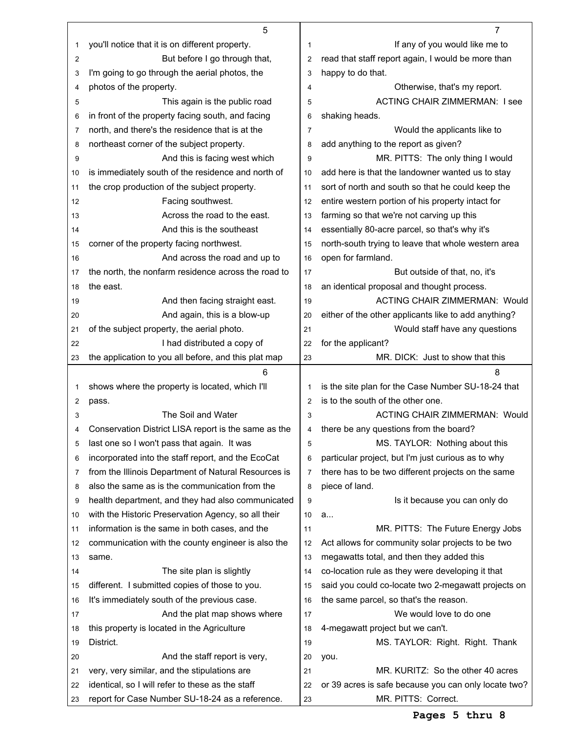|    | 5                                                    |                | 7                                                    |
|----|------------------------------------------------------|----------------|------------------------------------------------------|
| 1  | you'll notice that it is on different property.      | 1              | If any of you would like me to                       |
| 2  | But before I go through that,                        | 2              | read that staff report again, I would be more than   |
| 3  | I'm going to go through the aerial photos, the       | 3              | happy to do that.                                    |
| 4  | photos of the property.                              | 4              | Otherwise, that's my report.                         |
| 5  | This again is the public road                        | 5              | <b>ACTING CHAIR ZIMMERMAN: I see</b>                 |
| 6  | in front of the property facing south, and facing    | 6              | shaking heads.                                       |
| 7  | north, and there's the residence that is at the      | 7              | Would the applicants like to                         |
| 8  | northeast corner of the subject property.            | 8              | add anything to the report as given?                 |
| 9  | And this is facing west which                        | 9              | MR. PITTS: The only thing I would                    |
| 10 | is immediately south of the residence and north of   | 10             | add here is that the landowner wanted us to stay     |
| 11 | the crop production of the subject property.         | 11             | sort of north and south so that he could keep the    |
| 12 | Facing southwest.                                    | 12             | entire western portion of his property intact for    |
| 13 | Across the road to the east.                         | 13             | farming so that we're not carving up this            |
| 14 | And this is the southeast                            | 14             | essentially 80-acre parcel, so that's why it's       |
| 15 | corner of the property facing northwest.             | 15             | north-south trying to leave that whole western area  |
| 16 | And across the road and up to                        | 16             | open for farmland.                                   |
| 17 | the north, the nonfarm residence across the road to  | 17             | But outside of that, no, it's                        |
| 18 | the east.                                            | 18             | an identical proposal and thought process.           |
| 19 | And then facing straight east.                       | 19             | <b>ACTING CHAIR ZIMMERMAN: Would</b>                 |
| 20 | And again, this is a blow-up                         | 20             | either of the other applicants like to add anything? |
| 21 | of the subject property, the aerial photo.           | 21             | Would staff have any questions                       |
| 22 | I had distributed a copy of                          | 22             | for the applicant?                                   |
| 23 | the application to you all before, and this plat map | 23             | MR. DICK: Just to show that this                     |
|    |                                                      |                |                                                      |
|    | 6                                                    |                | 8                                                    |
| 1  | shows where the property is located, which I'll      | 1              | is the site plan for the Case Number SU-18-24 that   |
| 2  | pass.                                                | 2              | is to the south of the other one.                    |
| 3  | The Soil and Water                                   | 3              | <b>ACTING CHAIR ZIMMERMAN: Would</b>                 |
| 4  | Conservation District LISA report is the same as the | 4              | there be any questions from the board?               |
| 5  | last one so I won't pass that again. It was          | 5              | MS. TAYLOR: Nothing about this                       |
| 6  | incorporated into the staff report, and the EcoCat   | 6              | particular project, but I'm just curious as to why   |
| 7  | from the Illinois Department of Natural Resources is | $\overline{7}$ | there has to be two different projects on the same   |
| 8  | also the same as is the communication from the       | 8              | piece of land.                                       |
| 9  | health department, and they had also communicated    | 9              | Is it because you can only do                        |
| 10 | with the Historic Preservation Agency, so all their  | 10             | a                                                    |
| 11 | information is the same in both cases, and the       | 11             | MR. PITTS: The Future Energy Jobs                    |
| 12 | communication with the county engineer is also the   | 12             | Act allows for community solar projects to be two    |
| 13 | same.                                                | 13             | megawatts total, and then they added this            |
| 14 | The site plan is slightly                            | 14             | co-location rule as they were developing it that     |
| 15 | different. I submitted copies of those to you.       | 15             | said you could co-locate two 2-megawatt projects on  |
| 16 | It's immediately south of the previous case.         | 16             | the same parcel, so that's the reason.               |
| 17 | And the plat map shows where                         | 17             | We would love to do one                              |
| 18 | this property is located in the Agriculture          | 18             | 4-megawatt project but we can't.                     |
| 19 | District.                                            | 19             | MS. TAYLOR: Right. Right. Thank                      |
| 20 | And the staff report is very,                        | 20             | you.                                                 |
| 21 | very, very similar, and the stipulations are         | 21             | MR. KURITZ: So the other 40 acres                    |
| 22 | identical, so I will refer to these as the staff     | 22             | or 39 acres is safe because you can only locate two? |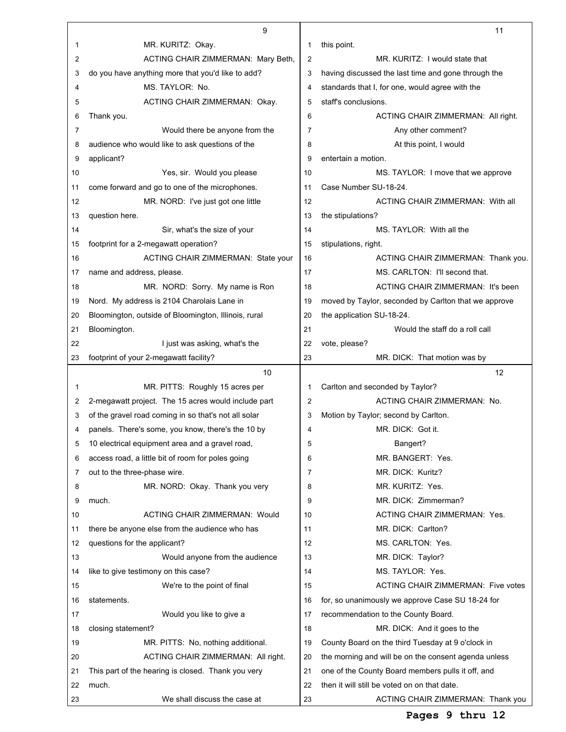|    | 9                                                    |                | 11                                                   |
|----|------------------------------------------------------|----------------|------------------------------------------------------|
| 1  | MR. KURITZ: Okay.                                    | 1              | this point.                                          |
| 2  | ACTING CHAIR ZIMMERMAN: Mary Beth,                   | $\overline{2}$ | MR. KURITZ: I would state that                       |
| 3  | do you have anything more that you'd like to add?    | 3              | having discussed the last time and gone through the  |
| 4  | MS. TAYLOR: No.                                      | 4              | standards that I, for one, would agree with the      |
| 5  | ACTING CHAIR ZIMMERMAN: Okay.                        | 5              | staff's conclusions.                                 |
| 6  | Thank you.                                           | 6              | ACTING CHAIR ZIMMERMAN: All right.                   |
| 7  | Would there be anyone from the                       | 7              | Any other comment?                                   |
| 8  | audience who would like to ask questions of the      | 8              | At this point, I would                               |
| 9  | applicant?                                           | 9              | entertain a motion.                                  |
| 10 | Yes, sir. Would you please                           | 10             | MS. TAYLOR: I move that we approve                   |
| 11 | come forward and go to one of the microphones.       | 11             | Case Number SU-18-24.                                |
| 12 | MR. NORD: I've just got one little                   | 12             | ACTING CHAIR ZIMMERMAN: With all                     |
| 13 | question here.                                       | 13             | the stipulations?                                    |
| 14 | Sir, what's the size of your                         | 14             | MS. TAYLOR: With all the                             |
| 15 | footprint for a 2-megawatt operation?                | 15             | stipulations, right.                                 |
| 16 | ACTING CHAIR ZIMMERMAN: State your                   | 16             | ACTING CHAIR ZIMMERMAN: Thank you.                   |
| 17 | name and address, please.                            | 17             | MS. CARLTON: I'll second that.                       |
| 18 | MR. NORD: Sorry. My name is Ron                      | 18             | ACTING CHAIR ZIMMERMAN: It's been                    |
| 19 | Nord. My address is 2104 Charolais Lane in           | 19             | moved by Taylor, seconded by Carlton that we approve |
| 20 | Bloomington, outside of Bloomington, Illinois, rural | 20             | the application SU-18-24.                            |
| 21 | Bloomington.                                         | 21             | Would the staff do a roll call                       |
| 22 | I just was asking, what's the                        | 22             | vote, please?                                        |
| 23 | footprint of your 2-megawatt facility?               | 23             | MR. DICK: That motion was by                         |
|    |                                                      |                |                                                      |
|    | 10                                                   |                | 12                                                   |
| 1  | MR. PITTS: Roughly 15 acres per                      | 1              | Carlton and seconded by Taylor?                      |
| 2  | 2-megawatt project. The 15 acres would include part  | $\overline{2}$ | ACTING CHAIR ZIMMERMAN: No.                          |
| 3  | of the gravel road coming in so that's not all solar | 3              | Motion by Taylor; second by Carlton.                 |
| 4  | panels. There's some, you know, there's the 10 by    | 4              | MR. DICK: Got it.                                    |
| 5  | 10 electrical equipment area and a gravel road,      | 5              | Bangert?                                             |
| 6  | access road, a little bit of room for poles going    | 6              | MR. BANGERT: Yes.                                    |
| 7  | out to the three-phase wire.                         | 7              | MR. DICK: Kuritz?                                    |
| 8  | MR. NORD: Okay. Thank you very                       | 8              | MR. KURITZ: Yes.                                     |
| 9  | much.                                                | 9              | MR. DICK: Zimmerman?                                 |
| 10 | <b>ACTING CHAIR ZIMMERMAN: Would</b>                 | 10             | ACTING CHAIR ZIMMERMAN: Yes.                         |
| 11 | there be anyone else from the audience who has       | 11             | MR. DICK: Carlton?                                   |
| 12 | questions for the applicant?                         | 12             | MS. CARLTON: Yes.                                    |
| 13 | Would anyone from the audience                       | 13             | MR. DICK: Taylor?                                    |
| 14 | like to give testimony on this case?                 | 14             | MS. TAYLOR: Yes.                                     |
| 15 | We're to the point of final                          | 15             | ACTING CHAIR ZIMMERMAN: Five votes                   |
| 16 | statements.                                          | 16             | for, so unanimously we approve Case SU 18-24 for     |
| 17 | Would you like to give a                             | 17             | recommendation to the County Board.                  |
| 18 | closing statement?                                   | 18             | MR. DICK: And it goes to the                         |
| 19 | MR. PITTS: No, nothing additional.                   | 19             | County Board on the third Tuesday at 9 o'clock in    |
| 20 | ACTING CHAIR ZIMMERMAN: All right.                   | 20             | the morning and will be on the consent agenda unless |
| 21 | This part of the hearing is closed. Thank you very   | 21             | one of the County Board members pulls it off, and    |
| 22 | much.                                                | 22             | then it will still be voted on on that date.         |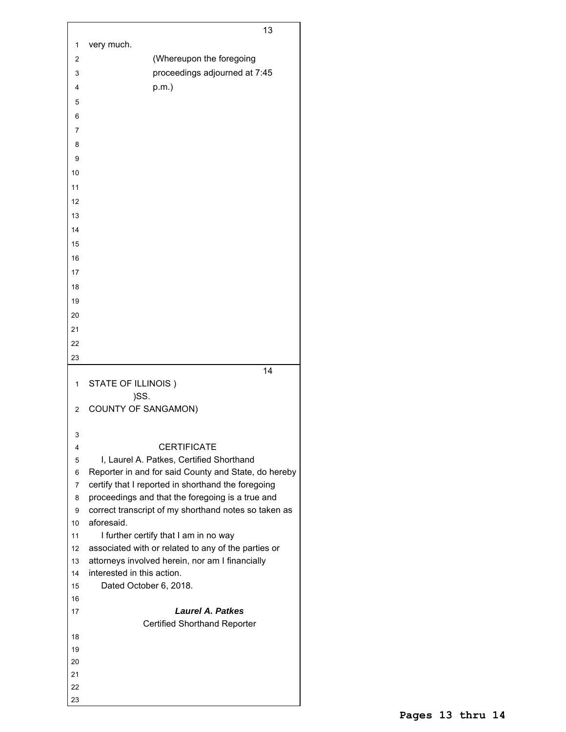|          | 13                                                                                                         |
|----------|------------------------------------------------------------------------------------------------------------|
| 1        | very much.                                                                                                 |
|          |                                                                                                            |
| 2        | (Whereupon the foregoing                                                                                   |
| 3        | proceedings adjourned at 7:45                                                                              |
| 4        | $p.m.$ )                                                                                                   |
| 5        |                                                                                                            |
| 6        |                                                                                                            |
| 7        |                                                                                                            |
| 8        |                                                                                                            |
| 9        |                                                                                                            |
| 10       |                                                                                                            |
| 11       |                                                                                                            |
| 12       |                                                                                                            |
| 13       |                                                                                                            |
| 14       |                                                                                                            |
| 15       |                                                                                                            |
| 16       |                                                                                                            |
| 17       |                                                                                                            |
|          |                                                                                                            |
| 18       |                                                                                                            |
| 19       |                                                                                                            |
| 20       |                                                                                                            |
| 21       |                                                                                                            |
| 22       |                                                                                                            |
| 23       |                                                                                                            |
|          | 14                                                                                                         |
|          |                                                                                                            |
| 1        | STATE OF ILLINOIS)                                                                                         |
|          | )SS.                                                                                                       |
| 2        | <b>COUNTY OF SANGAMON)</b>                                                                                 |
|          |                                                                                                            |
| 3        |                                                                                                            |
| 4        | <b>CERTIFICATE</b>                                                                                         |
| 5<br>6   | I, Laurel A. Patkes, Certified Shorthand                                                                   |
| 7        | Reporter in and for said County and State, do hereby<br>certify that I reported in shorthand the foregoing |
| 8        | proceedings and that the foregoing is a true and                                                           |
| 9        | correct transcript of my shorthand notes so taken as                                                       |
| 10       | aforesaid.                                                                                                 |
| 11       | I further certify that I am in no way                                                                      |
| 12       | associated with or related to any of the parties or                                                        |
| 13       | attorneys involved herein, nor am I financially                                                            |
| 14       | interested in this action.                                                                                 |
| 15       | Dated October 6, 2018.                                                                                     |
| 16       |                                                                                                            |
| 17       | <b>Laurel A. Patkes</b>                                                                                    |
|          | <b>Certified Shorthand Reporter</b>                                                                        |
| 18<br>19 |                                                                                                            |
| 20       |                                                                                                            |
| 21       |                                                                                                            |
| 22       |                                                                                                            |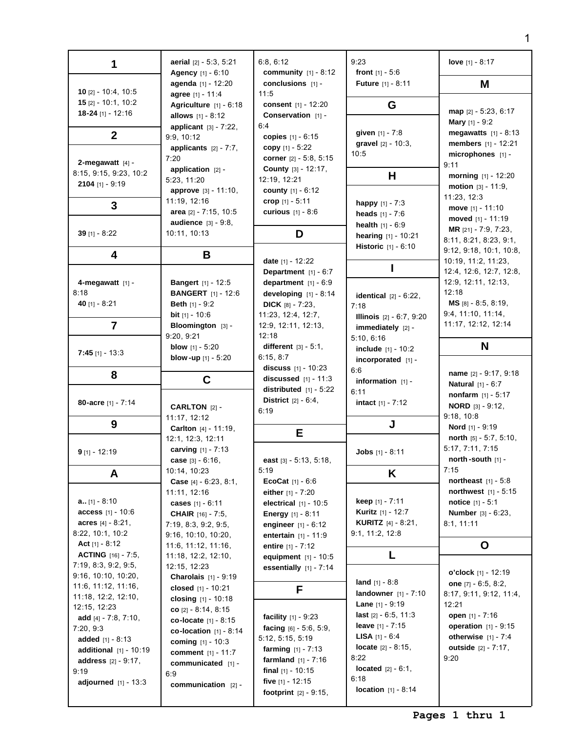| 1                                                                                                                                                                                   | aerial [2] - 5:3, 5:21                                                                                                                                                                       | 6:8, 6:12<br><b>community</b> $[1] - 8:12$                                                                                                                                                                                   | 9:23                                                                                                                                                                                                                            | love $[1] - 8:17$                                                                                                                           |
|-------------------------------------------------------------------------------------------------------------------------------------------------------------------------------------|----------------------------------------------------------------------------------------------------------------------------------------------------------------------------------------------|------------------------------------------------------------------------------------------------------------------------------------------------------------------------------------------------------------------------------|---------------------------------------------------------------------------------------------------------------------------------------------------------------------------------------------------------------------------------|---------------------------------------------------------------------------------------------------------------------------------------------|
|                                                                                                                                                                                     | Agency [1] - 6:10<br>conclusions [1] -<br>agenda [1] - 12:20                                                                                                                                 |                                                                                                                                                                                                                              | front $[1] - 5:6$<br><b>Future</b> [1] - 8:11                                                                                                                                                                                   | M                                                                                                                                           |
| 10 [2] - 10:4, 10:5<br>15 [2] - 10:1, 10:2<br>18-24 [1] - 12:16                                                                                                                     | agree [1] - 11:4<br>Agriculture [1] - 6:18<br>allows $[1] - 8:12$                                                                                                                            | 11:5<br>consent [1] - 12:20<br>Conservation [1] -                                                                                                                                                                            | G                                                                                                                                                                                                                               | $map$ [2] - 5:23, 6:17                                                                                                                      |
| $\mathbf{2}$                                                                                                                                                                        | applicant [3] - 7:22,<br>9:9, 10:12                                                                                                                                                          | 6:4<br>copies $[1] - 6:15$                                                                                                                                                                                                   | given [1] - 7:8<br>gravel [2] - 10:3,                                                                                                                                                                                           | <b>Mary</b> $[1] - 9:2$<br><b>megawatts</b> $[1] - 8:13$<br>members [1] - 12:21                                                             |
| 2-megawatt $[4]$ -                                                                                                                                                                  | applicants $[2] - 7:7$ ,<br>7:20<br>application $[2]$ -                                                                                                                                      | copy $[1] - 5:22$<br>corner [2] - 5:8, 5:15<br>County [3] - 12:17,                                                                                                                                                           | 10:5                                                                                                                                                                                                                            | microphones [1] -<br>9:11                                                                                                                   |
| 8:15, 9:15, 9:23, 10:2<br>2104 [1] - 9:19                                                                                                                                           | 5:23, 11:20<br><b>approve</b> [3] - 11:10,                                                                                                                                                   | 12:19, 12:21<br><b>county</b> $[1] - 6:12$                                                                                                                                                                                   | Н                                                                                                                                                                                                                               | morning [1] - 12:20<br>motion $[3] - 11:9$ ,                                                                                                |
| 3                                                                                                                                                                                   | 11:19, 12:16<br>area [2] - 7:15, 10:5                                                                                                                                                        | crop [1] - 5:11<br><b>curious</b> $[1] - 8:6$                                                                                                                                                                                | <b>happy</b> $[1] - 7:3$<br><b>heads</b> $[1] - 7:6$                                                                                                                                                                            | 11:23, 12:3<br>move $[1] - 11:10$<br>moved [1] - 11:19                                                                                      |
| 39 $[1] - 8:22$                                                                                                                                                                     | <b>audience</b> [3] - 9:8,<br>10:11, 10:13                                                                                                                                                   | D                                                                                                                                                                                                                            | <b>health</b> $[1] - 6:9$<br>hearing [1] - 10:21                                                                                                                                                                                | <b>MR</b> $[21] - 7:9, 7:23,$<br>8:11, 8:21, 8:23, 9:1,                                                                                     |
| 4                                                                                                                                                                                   | В                                                                                                                                                                                            | date [1] - 12:22                                                                                                                                                                                                             | <b>Historic</b> $[1] - 6:10$                                                                                                                                                                                                    | 9:12, 9:18, 10:1, 10:8,<br>10:19, 11:2, 11:23,                                                                                              |
| 4-megawatt $[1]$ -                                                                                                                                                                  | <b>Bangert</b> [1] - 12:5                                                                                                                                                                    | Department $[1] - 6:7$<br>department $[1] - 6:9$                                                                                                                                                                             |                                                                                                                                                                                                                                 | 12:4, 12:6, 12:7, 12:8,<br>12:9, 12:11, 12:13,                                                                                              |
| 8:18<br>40 [1] - 8:21                                                                                                                                                               | <b>BANGERT</b> [1] - 12:6<br><b>Beth</b> $[1] - 9:2$<br><b>bit</b> $[1] - 10:6$                                                                                                              | developing $[1] - 8:14$<br><b>DICK</b> $[8] - 7:23$                                                                                                                                                                          | <b>identical</b> $[2] - 6:22$ ,<br>7:18                                                                                                                                                                                         | 12:18<br>$MS$ [8] - 8:5, 8:19,<br>9:4, 11:10, 11:14,                                                                                        |
| $\overline{7}$                                                                                                                                                                      | Bloomington [3] -<br>9:20, 9:21                                                                                                                                                              | 11:23, 12:4, 12:7,<br>12:9, 12:11, 12:13,<br>12:18                                                                                                                                                                           | <b>Illinois</b> $[2] - 6:7, 9:20$<br>immediately $[2]$ -<br>5:10, 6:16                                                                                                                                                          | 11:17, 12:12, 12:14                                                                                                                         |
| $7:45$ [1] - 13:3                                                                                                                                                                   | <b>blow</b> $[1] - 5:20$<br>blow-up [1] - 5:20                                                                                                                                               | different $[3] - 5:1$ ,<br>6:15, 8:7                                                                                                                                                                                         | <b>include</b> $[1] - 10:2$<br>incorporated $[1]$ -                                                                                                                                                                             | N                                                                                                                                           |
| 8                                                                                                                                                                                   | C                                                                                                                                                                                            | discuss $[1] - 10:23$<br>discussed $[1] - 11:3$<br>distributed $[1] - 5:22$                                                                                                                                                  | 6:6<br>information $[1]$ -<br>6:11                                                                                                                                                                                              | name [2] - 9:17, 9:18<br><b>Natural</b> $[1] - 6:7$                                                                                         |
| 80-acre [1] - 7:14                                                                                                                                                                  | <b>CARLTON [2] -</b>                                                                                                                                                                         | <b>District</b> $[2] - 6:4$ ,<br>6:19                                                                                                                                                                                        | intact [1] - 7:12                                                                                                                                                                                                               | <b>nonfarm</b> $[1] - 5:17$<br><b>NORD</b> $[3] - 9:12$ ,<br>9:18, 10:8                                                                     |
| 9                                                                                                                                                                                   | 11:17, 12:12<br>Carlton [4] - 11:19,                                                                                                                                                         | Е                                                                                                                                                                                                                            | J                                                                                                                                                                                                                               | <b>Nord</b> $[1] - 9:19$                                                                                                                    |
| $9$ [1] - 12:19                                                                                                                                                                     | 12:1, 12:3, 12:11<br>carving [1] - 7:13<br>case [3] - 6:16,                                                                                                                                  | east [3] - 5:13, 5:18,                                                                                                                                                                                                       | <b>Jobs</b> $[1] - 8:11$                                                                                                                                                                                                        | north $[5] - 5:7, 5:10$ ,<br>5:17, 7:11, 7:15<br>north-south [1] -                                                                          |
| A                                                                                                                                                                                   | 10:14, 10:23<br><b>Case</b> $[4] - 6:23, 8:1,$                                                                                                                                               | 5:19<br><b>EcoCat</b> $[1] - 6:6$                                                                                                                                                                                            | K                                                                                                                                                                                                                               | 7:15<br>northeast $[1] - 5:8$                                                                                                               |
| $a_{1.}[1] - 8:10$<br><b>access</b> $[1] - 10:6$<br>acres $[4] - 8:21$ ,<br>8:22, 10:1, 10:2                                                                                        | 11:11, 12:16<br>cases $[1] - 6:11$<br><b>CHAIR</b> [16] - 7:5,<br>7:19, 8:3, 9:2, 9:5,<br>9:16, 10:10, 10:20,                                                                                | either $[1] - 7:20$<br>electrical $[1]$ - 10:5<br><b>Energy</b> $[1] - 8:11$<br>engineer $[1] - 6:12$<br><b>entertain</b> $[1] - 11:9$                                                                                       | <b>keep</b> $[1] - 7:11$<br><b>Kuritz</b> [1] - 12:7<br><b>KURITZ</b> $[4] - 8:21$ ,<br>9:1, 11:2, 12:8                                                                                                                         | <b>northwest</b> $[1] - 5:15$<br><b>notice</b> $[1] - 5:1$<br><b>Number</b> $[3] - 6:23$ ,<br>8:1, 11:11                                    |
| Act $[1] - 8:12$                                                                                                                                                                    | 11:6, 11:12, 11:16,                                                                                                                                                                          | entire $[1] - 7:12$                                                                                                                                                                                                          |                                                                                                                                                                                                                                 | $\mathbf 0$                                                                                                                                 |
| <b>ACTING</b> $[16] - 7:5$ ,<br>7:19, 8:3, 9:2, 9:5,<br>9:16, 10:10, 10:20,                                                                                                         | 11:18, 12:2, 12:10,<br>12:15, 12:23<br>Charolais [1] - 9:19                                                                                                                                  | equipment $[1] - 10:5$<br>essentially [1] - 7:14                                                                                                                                                                             | L                                                                                                                                                                                                                               | o'clock $[1] - 12:19$                                                                                                                       |
| 11:6, 11:12, 11:16,<br>11:18, 12:2, 12:10,                                                                                                                                          | closed $[1] - 10:21$<br>closing $[1] - 10:18$                                                                                                                                                | F                                                                                                                                                                                                                            | <b>land</b> $[1] - 8:8$<br><b>landowner</b> $[1] - 7:10$                                                                                                                                                                        | one $[7] - 6:5, 8:2,$<br>8:17, 9:11, 9:12, 11:4,                                                                                            |
| 12:15, 12:23<br>add $[4] - 7:8, 7:10,$<br>7:20, 9:3<br><b>added</b> $[1] - 8:13$<br><b>additional</b> $[1] - 10:19$<br><b>address</b> [2] - 9:17,<br>9:19<br>adjourned $[1] - 13:3$ | co $[2] - 8:14, 8:15$<br>co-locate $[1] - 8:15$<br>co-location $[1] - 8:14$<br><b>coming</b> $[1] - 10:3$<br><b>comment</b> [1] - 11:7<br>communicated [1] -<br>6:9<br>communication $[2]$ - | <b>facility</b> $[1] - 9:23$<br>facing $[6] - 5:6, 5:9$ ,<br>5:12, 5:15, 5:19<br><b>farming</b> $[1] - 7:13$<br><b>farmland</b> $[1] - 7:16$<br>final $[1]$ - 10:15<br>five $[1] - 12:15$<br><b>footprint</b> $[2] - 9:15$ , | <b>Lane</b> $[1]$ - 9:19<br><b>last</b> $[2] - 6:5, 11:3$<br><b>leave</b> [1] - 7:15<br><b>LISA</b> $[1] - 6:4$<br><b>locate</b> $[2] - 8:15$ ,<br>8:22<br><b>located</b> $[2] - 6:1$ ,<br>6:18<br><b>location</b> $[1] - 8:14$ | 12:21<br><b>open</b> $[1] - 7:16$<br><b>operation</b> $[1] - 9:15$<br><b>otherwise</b> $[1] - 7:4$<br><b>outside</b> $[2] - 7:17$ ,<br>9:20 |